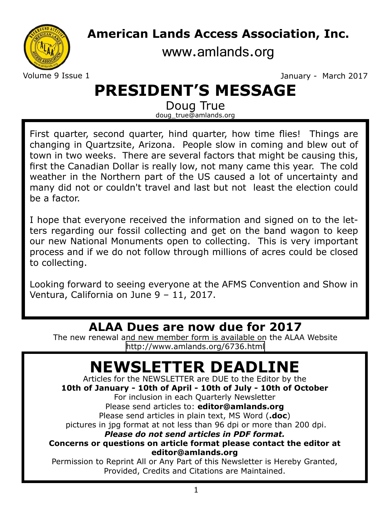# **American Lands Access Association, Inc.**

[www.amlands.org](http://www.amlands.org)

Volume 9 Issue 1 **January - March 2017** 

# **PRESIDENT'S MESSAGE**

Doug True doug\_true@amlands.org

First quarter, second quarter, hind quarter, how time flies! Things are changing in Quartzsite, Arizona. People slow in coming and blew out of town in two weeks. There are several factors that might be causing this, first the Canadian Dollar is really low, not many came this year. The cold weather in the Northern part of the US caused a lot of uncertainty and many did not or couldn't travel and last but not least the election could be a factor.

I hope that everyone received the information and signed on to the letters regarding our fossil collecting and get on the band wagon to keep our new National Monuments open to collecting. This is very important process and if we do not follow through millions of acres could be closed to collecting.

Looking forward to seeing everyone at the AFMS Convention and Show in Ventura, California on June 9 – 11, 2017.

### **ALAA Dues are now due for 2017**

The new renewal and new member form is available on the ALAA Website <http://www.amlands.org/6736.html>

# **NEWSLETTER DEADLINE**

Articles for the NEWSLETTER are DUE to the Editor by the **10th of January - 10th of April - 10th of July - 10th of October** For inclusion in each Quarterly Newsletter Please send articles to: **editor@amlands.org** Please send articles in plain text, MS Word (**.doc**) pictures in jpg format at not less than 96 dpi or more than 200 dpi. *Please do not send articles in PDF format.* **Concerns or questions on article format please contact the editor at editor@amlands.org** Permission to Reprint All or Any Part of this Newsletter is Hereby Granted, Provided, Credits and Citations are Maintained.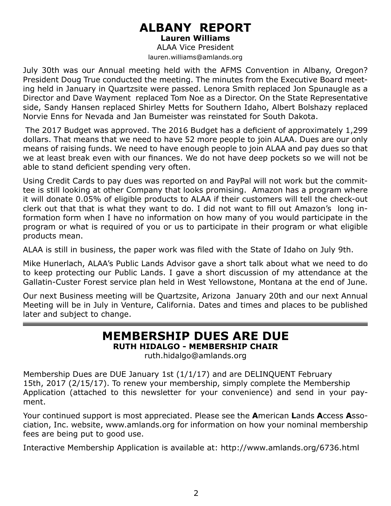# **ALBANY REPORT**

**Lauren Williams** 

ALAA Vice President lauren.williams@amlands.org

July 30th was our Annual meeting held with the AFMS Convention in Albany, Oregon? President Doug True conducted the meeting. The minutes from the Executive Board meeting held in January in Quartzsite were passed. Lenora Smith replaced Jon Spunaugle as a Director and Dave Wayment replaced Tom Noe as a Director. On the State Representative side, Sandy Hansen replaced Shirley Metts for Southern Idaho, Albert Bolshazy replaced Norvie Enns for Nevada and Jan Bumeister was reinstated for South Dakota.

 The 2017 Budget was approved. The 2016 Budget has a deficient of approximately 1,299 dollars. That means that we need to have 52 more people to join ALAA. Dues are our only means of raising funds. We need to have enough people to join ALAA and pay dues so that we at least break even with our finances. We do not have deep pockets so we will not be able to stand deficient spending very often.

Using Credit Cards to pay dues was reported on and PayPal will not work but the committee is still looking at other Company that looks promising. Amazon has a program where it will donate 0.05% of eligible products to ALAA if their customers will tell the check-out clerk out that that is what they want to do. I did not want to fill out Amazon's long information form when I have no information on how many of you would participate in the program or what is required of you or us to participate in their program or what eligible products mean.

ALAA is still in business, the paper work was filed with the State of Idaho on July 9th.

Mike Hunerlach, ALAA's Public Lands Advisor gave a short talk about what we need to do to keep protecting our Public Lands. I gave a short discussion of my attendance at the Gallatin-Custer Forest service plan held in West Yellowstone, Montana at the end of June.

Our next Business meeting will be Quartzsite, Arizona January 20th and our next Annual Meeting will be in July in Venture, California. Dates and times and places to be published later and subject to change.

# **MEMBERSHIP DUES ARE DUE**

**RUTH HIDALGO - MEMBERSHIP CHAIR**

ruth.hidalgo@amlands.org

Membership Dues are DUE January 1st (1/1/17) and are DELINQUENT February 15th, 2017 (2/15/17). To renew your membership, simply complete the Membership Application (attached to this newsletter for your convenience) and send in your payment.

Your continued support is most appreciated. Please see the **A**merican **L**ands **A**ccess **A**ssociation, Inc. website, www.amlands.org for information on how your nominal membership fees are being put to good use.

Interactive Membership Application is available at: http://www.amlands.org/6736.html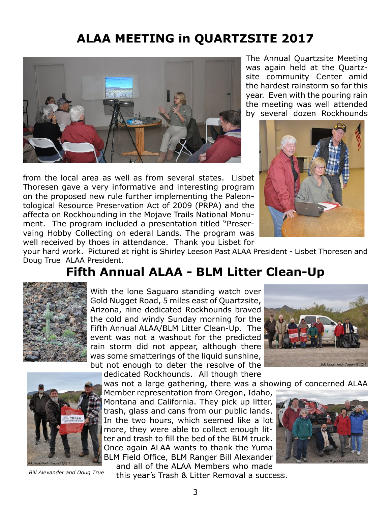## **ALAA MEETING in QUARTZSITE 2017**



from the local area as well as from several states. Lisbet Thoresen gave a very informative and interesting program on the proposed new rule further implementing the Paleontological Resource Preservation Act of 2009 (PRPA) and the affecta on Rockhounding in the Mojave Trails National Monument. The program included a presentation titled "Preservaing Hobby Collecting on ederal Lands. The program was well received by thoes in attendance. Thank you Lisbet for

The Annual Quartzsite Meeting was again held at the Quartzsite community Center amid the hardest rainstorm so far this year. Even with the pouring rain the meeting was well attended by several dozen Rockhounds



your hard work. Pictured at right is Shirley Leeson Past ALAA President - Lisbet Thoresen and Doug True ALAA President.

### **Fifth Annual ALAA - BLM Litter Clean-Up**



With the lone Saguaro standing watch over Gold Nugget Road, 5 miles east of Quartzsite, Arizona, nine dedicated Rockhounds braved the cold and windy Sunday morning for the Fifth Annual ALAA/BLM Litter Clean-Up. The event was not a washout for the predicted rain storm did not appear, although there was some smatterings of the liquid sunshine, but not enough to deter the resolve of the





*Bill Alexander and Doug True*

dedicated Rockhounds. All though there was not a large gathering, there was a showing of concerned ALAA Member representation from Oregon, Idaho, Montana and California. They pick up litter,

trash, glass and cans from our public lands. In the two hours, which seemed like a lot more, they were able to collect enough litter and trash to fill the bed of the BLM truck. Once again ALAA wants to thank the Yuma BLM Field Office, BLM Ranger Bill Alexander and all of the ALAA Members who made



this year's Trash & Litter Removal a success.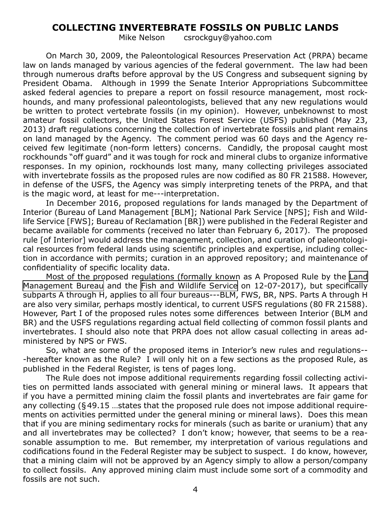#### **COLLECTING INVERTEBRATE FOSSILS ON PUBLIC LANDS**

Mike Nelson csrockguy@yahoo.com

On March 30, 2009, the Paleontological Resources Preservation Act (PRPA) became law on lands managed by various agencies of the federal government. The law had been through numerous drafts before approval by the US Congress and subsequent signing by President Obama. Although in 1999 the Senate Interior Appropriations Subcommittee asked federal agencies to prepare a report on fossil resource management, most rockhounds, and many professional paleontologists, believed that any new regulations would be written to protect vertebrate fossils (in my opinion). However, unbeknownst to most amateur fossil collectors, the United States Forest Service (USFS) published (May 23, 2013) draft regulations concerning the collection of invertebrate fossils and plant remains on land managed by the Agency. The comment period was 60 days and the Agency received few legitimate (non-form letters) concerns. Candidly, the proposal caught most rockhounds "off guard" and it was tough for rock and mineral clubs to organize informative responses. In my opinion, rockhounds lost many, many collecting privileges associated with invertebrate fossils as the proposed rules are now codified as 80 FR 21588. However, in defense of the USFS, the Agency was simply interpreting tenets of the PRPA, and that is the magic word, at least for me---interpretation.

In December 2016, proposed regulations for lands managed by the Department of Interior (Bureau of Land Management [BLM]; National Park Service [NPS]; Fish and Wildlife Service [FWS]; Bureau of Reclamation [BR]) were published in the Federal Register and became available for comments (received no later than February 6, 2017). The proposed rule [of Interior] would address the management, collection, and curation of paleontological resources from federal lands using scientific principles and expertise, including collection in accordance with permits; curation in an approved repository; and maintenance of confidentiality of specific locality data.

Most of the proposed regulations (formally known as A Proposed Rule by the [Land](https://www.federalregister.gov/documents/2016/12/07/2016-29244/paleontological-resources-preservati) [Management Bureau](https://www.federalregister.gov/documents/2016/12/07/2016-29244/paleontological-resources-preservati) and the [Fish and Wildlife Service](https://www.federalregister.gov/agencies/fish-and-wildlife-service) on 12-07-2017), but specifically subparts A through H, applies to all four bureaus---BLM, FWS, BR, NPS. Parts A through H are also very similar, perhaps mostly identical, to current USFS regulations (80 FR 21588). However, Part I of the proposed rules notes some differences between Interior (BLM and BR) and the USFS regulations regarding actual field collecting of common fossil plants and invertebrates. I should also note that PRPA does not allow casual collecting in areas administered by NPS or FWS.

So, what are some of the proposed items in Interior's new rules and regulations-- -hereafter known as the Rule? I will only hit on a few sections as the proposed Rule, as published in the Federal Register, is tens of pages long.

The Rule does not impose additional requirements regarding fossil collecting activities on permitted lands associated with general mining or mineral laws. It appears that if you have a permitted mining claim the fossil plants and invertebrates are fair game for any collecting (§49.15 …states that the proposed rule does not impose additional requirements on activities permitted under the general mining or mineral laws). Does this mean that if you are mining sedimentary rocks for minerals (such as barite or uranium) that any and all invertebrates may be collected? I don't know; however, that seems to be a reasonable assumption to me. But remember, my interpretation of various regulations and codifications found in the Federal Register may be subject to suspect. I do know, however, that a mining claim will not be approved by an Agency simply to allow a person/company to collect fossils. Any approved mining claim must include some sort of a commodity and fossils are not such.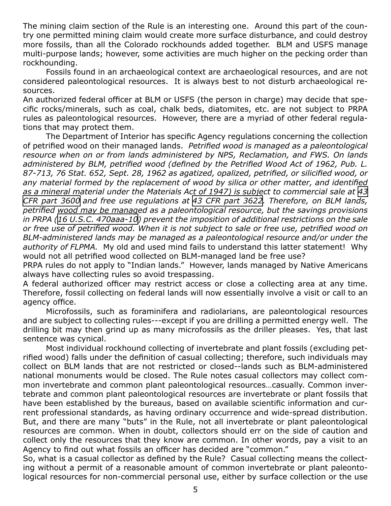The mining claim section of the Rule is an interesting one. Around this part of the country one permitted mining claim would create more surface disturbance, and could destroy more fossils, than all the Colorado rockhounds added together. BLM and USFS manage multi-purpose lands; however, some activities are much higher on the pecking order than rockhounding.

Fossils found in an archaeological context are archaeological resources, and are not considered paleontological resources. It is always best to not disturb archaeological resources.

An authorized federal officer at BLM or USFS (the person in charge) may decide that specific rocks/minerals, such as coal, chalk beds, diatomites, etc. are not subject to PRPA rules as paleontological resources. However, there are a myriad of other federal regulations that may protect them.

The Department of Interior has specific Agency regulations concerning the collection of petrified wood on their managed lands. *Petrified wood is managed as a paleontological resource when on or from lands administered by NPS, Reclamation, and FWS. On lands administered by BLM, petrified wood (defined by the Petrified Wood Act of 1962, Pub. L. 87-713, 76 Stat. 652, Sept. 28, 1962 as agatized, opalized, petrified, or silicified wood, or any material formed by the replacement of wood by silica or other matter, and identified as a mineral material under the Materials Act of 1947) is subject to commercial sale at [43](https://www.federalregister.gov/documents/2016/12/07) [CFR part 3600](https://www.federalregister.gov/documents/2016/12/07) and free use regulations at [43 CFR part 3622](https://www.federalregister.gov/documents/2016/12/07). Therefore, on BLM lands, petrified wood may be managed as a paleontological resource, but the savings provisions in PRPA [\(16 U.S.C. 470aaa-10](https://www.federalregister.gov/documents/2016/12/07)) prevent the imposition of additional restrictions on the sale or free use of petrified wood. When it is not subject to sale or free use, petrified wood on BLM-administered lands may be managed as a paleontological resource and/or under the authority of FLPMA.* My old and used mind fails to understand this latter statement! Why would not all petrified wood collected on BLM-managed land be free use?

PRPA rules do not apply to "Indian lands." However, lands managed by Native Americans always have collecting rules so avoid trespassing.

A federal authorized officer may restrict access or close a collecting area at any time. Therefore, fossil collecting on federal lands will now essentially involve a visit or call to an agency office.

Microfossils, such as foraminifera and radiolarians, are paleontological resources and are subject to collecting rules---except if you are drilling a permitted energy well. The drilling bit may then grind up as many microfossils as the driller pleases. Yes, that last sentence was cynical.

Most individual rockhound collecting of invertebrate and plant fossils (excluding petrified wood) falls under the definition of casual collecting; therefore, such individuals may collect on BLM lands that are not restricted or closed--lands such as BLM-administered national monuments would be closed. The Rule notes casual collectors may collect common invertebrate and common plant paleontological resources…casually. Common invertebrate and common plant paleontological resources are invertebrate or plant fossils that have been established by the bureaus, based on available scientific information and current professional standards, as having ordinary occurrence and wide-spread distribution. But, and there are many "buts" in the Rule, not all invertebrate or plant paleontological resources are common. When in doubt, collectors should err on the side of caution and collect only the resources that they know are common. In other words, pay a visit to an Agency to find out what fossils an officer has decided are "common."

So, what is a casual collector as defined by the Rule? Casual collecting means the collecting without a permit of a reasonable amount of common invertebrate or plant paleontological resources for non-commercial personal use, either by surface collection or the use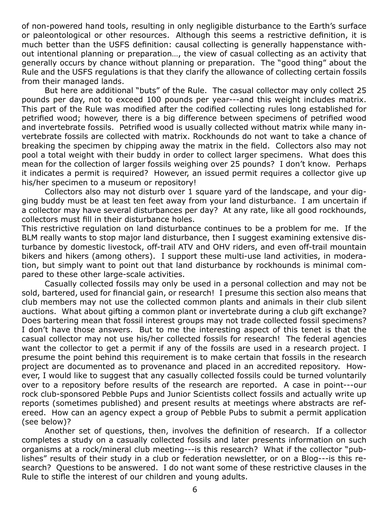of non-powered hand tools, resulting in only negligible disturbance to the Earth's surface or paleontological or other resources. Although this seems a restrictive definition, it is much better than the USFS definition: causal collecting is generally happenstance without intentional planning or preparation…, the view of casual collecting as an activity that generally occurs by chance without planning or preparation. The "good thing" about the Rule and the USFS regulations is that they clarify the allowance of collecting certain fossils from their managed lands.

But here are additional "buts" of the Rule. The casual collector may only collect 25 pounds per day, not to exceed 100 pounds per year---and this weight includes matrix. This part of the Rule was modified after the codified collecting rules long established for petrified wood; however, there is a big difference between specimens of petrified wood and invertebrate fossils. Petrified wood is usually collected without matrix while many invertebrate fossils are collected with matrix. Rockhounds do not want to take a chance of breaking the specimen by chipping away the matrix in the field. Collectors also may not pool a total weight with their buddy in order to collect larger specimens. What does this mean for the collection of larger fossils weighing over 25 pounds? I don't know. Perhaps it indicates a permit is required? However, an issued permit requires a collector give up his/her specimen to a museum or repository!

Collectors also may not disturb over 1 square yard of the landscape, and your digging buddy must be at least ten feet away from your land disturbance. I am uncertain if a collector may have several disturbances per day? At any rate, like all good rockhounds, collectors must fill in their disturbance holes.

This restrictive regulation on land disturbance continues to be a problem for me. If the BLM really wants to stop major land disturbance, then I suggest examining extensive disturbance by domestic livestock, off-trail ATV and OHV riders, and even off-trail mountain bikers and hikers (among others). I support these multi-use land activities, in moderation, but simply want to point out that land disturbance by rockhounds is minimal compared to these other large-scale activities.

Casually collected fossils may only be used in a personal collection and may not be sold, bartered, used for financial gain, or research! I presume this section also means that club members may not use the collected common plants and animals in their club silent auctions. What about gifting a common plant or invertebrate during a club gift exchange? Does bartering mean that fossil interest groups may not trade collected fossil specimens? I don't have those answers. But to me the interesting aspect of this tenet is that the casual collector may not use his/her collected fossils for research! The federal agencies want the collector to get a permit if any of the fossils are used in a research project. I presume the point behind this requirement is to make certain that fossils in the research project are documented as to provenance and placed in an accredited repository. However, I would like to suggest that any casually collected fossils could be turned voluntarily over to a repository before results of the research are reported. A case in point---our rock club-sponsored Pebble Pups and Junior Scientists collect fossils and actually write up reports (sometimes published) and present results at meetings where abstracts are refereed. How can an agency expect a group of Pebble Pubs to submit a permit application (see below)?

Another set of questions, then, involves the definition of research. If a collector completes a study on a casually collected fossils and later presents information on such organisms at a rock/mineral club meeting---is this research? What if the collector "publishes" results of their study in a club or federation newsletter, or on a Blog---is this research? Questions to be answered. I do not want some of these restrictive clauses in the Rule to stifle the interest of our children and young adults.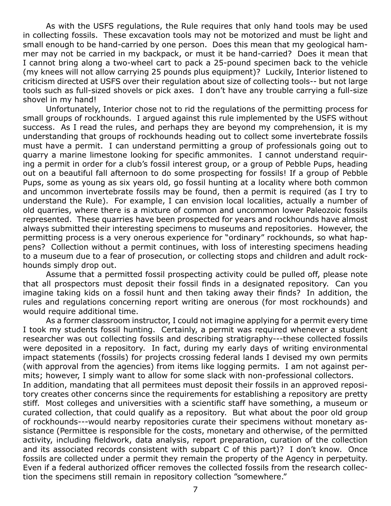As with the USFS regulations, the Rule requires that only hand tools may be used in collecting fossils. These excavation tools may not be motorized and must be light and small enough to be hand-carried by one person. Does this mean that my geological hammer may not be carried in my backpack, or must it be hand-carried? Does it mean that I cannot bring along a two-wheel cart to pack a 25-pound specimen back to the vehicle (my knees will not allow carrying 25 pounds plus equipment)? Luckily, Interior listened to criticism directed at USFS over their regulation about size of collecting tools-- but not large tools such as full-sized shovels or pick axes. I don't have any trouble carrying a full-size shovel in my hand!

Unfortunately, Interior chose not to rid the regulations of the permitting process for small groups of rockhounds. I argued against this rule implemented by the USFS without success. As I read the rules, and perhaps they are beyond my comprehension, it is my understanding that groups of rockhounds heading out to collect some invertebrate fossils must have a permit. I can understand permitting a group of professionals going out to quarry a marine limestone looking for specific ammonites. I cannot understand requiring a permit in order for a club's fossil interest group, or a group of Pebble Pups, heading out on a beautiful fall afternoon to do some prospecting for fossils! If a group of Pebble Pups, some as young as six years old, go fossil hunting at a locality where both common and uncommon invertebrate fossils may be found, then a permit is required (as I try to understand the Rule). For example, I can envision local localities, actually a number of old quarries, where there is a mixture of common and uncommon lower Paleozoic fossils represented. These quarries have been prospected for years and rockhounds have almost always submitted their interesting specimens to museums and repositories. However, the permitting process is a very onerous experience for "ordinary" rockhounds, so what happens? Collection without a permit continues, with loss of interesting specimens heading to a museum due to a fear of prosecution, or collecting stops and children and adult rockhounds simply drop out.

Assume that a permitted fossil prospecting activity could be pulled off, please note that all prospectors must deposit their fossil finds in a designated repository. Can you imagine taking kids on a fossil hunt and then taking away their finds? In addition, the rules and regulations concerning report writing are onerous (for most rockhounds) and would require additional time.

As a former classroom instructor, I could not imagine applying for a permit every time I took my students fossil hunting. Certainly, a permit was required whenever a student researcher was out collecting fossils and describing stratigraphy---these collected fossils were deposited in a repository. In fact, during my early days of writing environmental impact statements (fossils) for projects crossing federal lands I devised my own permits (with approval from the agencies) from items like logging permits. I am not against permits; however, I simply want to allow for some slack with non-professional collectors. In addition, mandating that all permitees must deposit their fossils in an approved repository creates other concerns since the requirements for establishing a repository are pretty stiff. Most colleges and universities with a scientific staff have something, a museum or curated collection, that could qualify as a repository. But what about the poor old group of rockhounds---would nearby repositories curate their specimens without monetary as-

sistance (Permittee is responsible for the costs, monetary and otherwise, of the permitted activity, including fieldwork, data analysis, report preparation, curation of the collection and its associated records consistent with subpart C of this part)? I don't know. Once fossils are collected under a permit they remain the property of the Agency in perpetuity. Even if a federal authorized officer removes the collected fossils from the research collection the specimens still remain in repository collection "somewhere."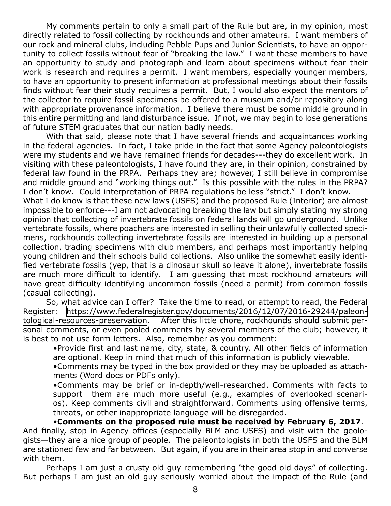My comments pertain to only a small part of the Rule but are, in my opinion, most directly related to fossil collecting by rockhounds and other amateurs. I want members of our rock and mineral clubs, including Pebble Pups and Junior Scientists, to have an opportunity to collect fossils without fear of "breaking the law." I want these members to have an opportunity to study and photograph and learn about specimens without fear their work is research and requires a permit. I want members, especially younger members, to have an opportunity to present information at professional meetings about their fossils finds without fear their study requires a permit. But, I would also expect the mentors of the collector to require fossil specimens be offered to a museum and/or repository along with appropriate provenance information. I believe there must be some middle ground in this entire permitting and land disturbance issue. If not, we may begin to lose generations of future STEM graduates that our nation badly needs.

With that said, please note that I have several friends and acquaintances working in the federal agencies. In fact, I take pride in the fact that some Agency paleontologists were my students and we have remained friends for decades---they do excellent work. In visiting with these paleontologists, I have found they are, in their opinion, constrained by federal law found in the PRPA. Perhaps they are; however, I still believe in compromise and middle ground and "working things out." Is this possible with the rules in the PRPA? I don't know. Could interpretation of PRPA regulations be less "strict." I don't know.

What I do know is that these new laws (USFS) and the proposed Rule (Interior) are almost impossible to enforce---I am not advocating breaking the law but simply stating my strong opinion that collecting of invertebrate fossils on federal lands will go underground. Unlike vertebrate fossils, where poachers are interested in selling their unlawfully collected specimens, rockhounds collecting invertebrate fossils are interested in building up a personal collection, trading specimens with club members, and perhaps most importantly helping young children and their schools build collections. Also unlike the somewhat easily identified vertebrate fossils (yep, that is a dinosaur skull so leave it alone), invertebrate fossils are much more difficult to identify.   I am guessing that most rockhound amateurs will have great difficulty identifying uncommon fossils (need a permit) from common fossils (casual collecting).

So, what advice can I offer? Take the time to read, or attempt to read, the Federal Register: [https://www.federalregister.gov/documents/2016/12/07/2016-29244/paleon](https://www.federalregister.gov/documents/2016/12/07/2016-29244/paleontological-resources-preservati)[tological-resources-preservation](https://www.federalregister.gov/documents/2016/12/07/2016-29244/paleontological-resources-preservati). After this little chore, rockhounds should submit personal comments, or even pooled comments by several members of the club; however, it is best to not use form letters. Also, remember as you comment:

•Provide first and last name, city, state, & country. All other fields of information are optional. Keep in mind that much of this information is publicly viewable.

•Comments may be typed in the box provided or they may be uploaded as attachments (Word docs or PDFs only).

•Comments may be brief or in-depth/well-researched. Comments with facts to support them are much more useful (e.g., examples of overlooked scenarios). Keep comments civil and straightforward. Comments using offensive terms, threats, or other inappropriate language will be disregarded.

•**Comments on the proposed rule must be received by February 6, 2017**. And finally, stop in Agency offices (especially BLM and USFS) and visit with the geologists—they are a nice group of people. The paleontologists in both the USFS and the BLM are stationed few and far between. But again, if you are in their area stop in and converse with them.

Perhaps I am just a crusty old guy remembering "the good old days" of collecting. But perhaps I am just an old guy seriously worried about the impact of the Rule (and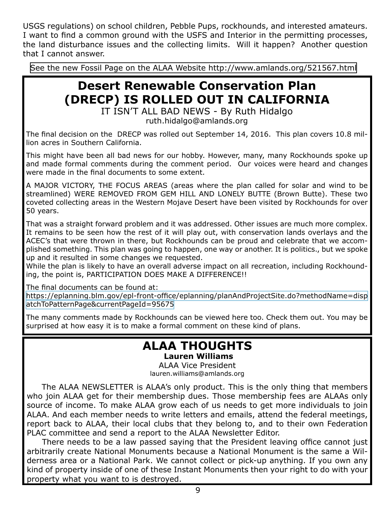USGS regulations) on school children, Pebble Pups, rockhounds, and interested amateurs. I want to find a common ground with the USFS and Interior in the permitting processes, the land disturbance issues and the collecting limits. Will it happen? Another question that I cannot answer.

[See the new Fossil Page on the ALAA Website http://www.amlands.org/521567.html](http://www.amlands.org/521567.html)

## **Desert Renewable Conservation Plan (DRECP) IS ROLLED OUT IN CALIFORNIA**

IT ISN'T ALL BAD NEWS - By Ruth Hidalgo

ruth.hidalgo@amlands.org

The final decision on the DRECP was rolled out September 14, 2016. This plan covers 10.8 million acres in Southern California.

This might have been all bad news for our hobby. However, many, many Rockhounds spoke up and made formal comments during the comment period. Our voices were heard and changes were made in the final documents to some extent.

A MAJOR VICTORY, THE FOCUS AREAS (areas where the plan called for solar and wind to be streamlined) WERE REMOVED FROM GEM HILL AND LONELY BUTTE (Brown Butte). These two coveted collecting areas in the Western Mojave Desert have been visited by Rockhounds for over 50 years.

That was a straight forward problem and it was addressed. Other issues are much more complex. It remains to be seen how the rest of it will play out, with conservation lands overlays and the ACEC's that were thrown in there, but Rockhounds can be proud and celebrate that we accomplished something. This plan was going to happen, one way or another. It is politics., but we spoke up and it resulted in some changes we requested.

While the plan is likely to have an overall adverse impact on all recreation, including Rockhounding, the point is, PARTICIPATION DOES MAKE A DIFFERENCE!!

The final documents can be found at:

[https://eplanning.blm.gov/epl-front-office/eplanning/planAndProjectSite.do?methodName=disp](https://eplanning.blm.gov/epl-front-office/eplanning/planAndProjectSite.do?methodName=dispatchToPatternPage¤tPageId=95675) [atchToPatternPage&currentPageId=95675](https://eplanning.blm.gov/epl-front-office/eplanning/planAndProjectSite.do?methodName=dispatchToPatternPage¤tPageId=95675)

The many comments made by Rockhounds can be viewed here too. Check them out. You may be surprised at how easy it is to make a formal comment on these kind of plans.

#### **ALAA THOUGHTS Lauren Williams**

ALAA Vice President lauren.williams@amlands.org

 The ALAA NEWSLETTER is ALAA's only product. This is the only thing that members who join ALAA get for their membership dues. Those membership fees are ALAAs only source of income. To make ALAA grow each of us needs to get more individuals to join ALAA. And each member needs to write letters and emails, attend the federal meetings, report back to ALAA, their local clubs that they belong to, and to their own Federation PLAC committee and send a report to the ALAA Newsletter Editor.

 There needs to be a law passed saying that the President leaving office cannot just arbitrarily create National Monuments because a National Monument is the same a Wilderness area or a National Park. We cannot collect or pick-up anything. If you own any kind of property inside of one of these Instant Monuments then your right to do with your property what you want to is destroyed.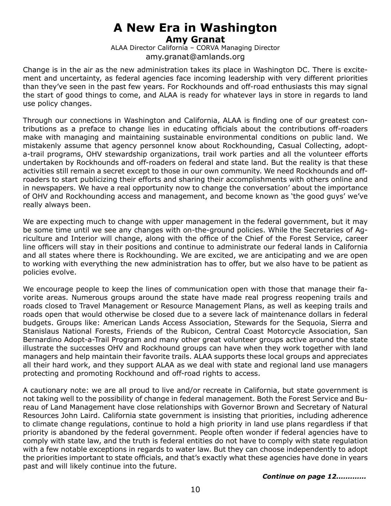#### **A New Era in Washington Amy Granat**

ALAA Director California – CORVA Managing Director amy.granat@amlands.org

Change is in the air as the new administration takes its place in Washington DC. There is excitement and uncertainty, as federal agencies face incoming leadership with very different priorities than they've seen in the past few years. For Rockhounds and off-road enthusiasts this may signal the start of good things to come, and ALAA is ready for whatever lays in store in regards to land use policy changes.

Through our connections in Washington and California, ALAA is finding one of our greatest contributions as a preface to change lies in educating officials about the contributions off-roaders make with managing and maintaining sustainable environmental conditions on public land. We mistakenly assume that agency personnel know about Rockhounding, Casual Collecting, adopta-trail programs, OHV stewardship organizations, trail work parties and all the volunteer efforts undertaken by Rockhounds and off-roaders on federal and state land. But the reality is that these activities still remain a secret except to those in our own community. We need Rockhounds and offroaders to start publicizing their efforts and sharing their accomplishments with others online and in newspapers. We have a real opportunity now to change the conversation' about the importance of OHV and Rockhounding access and management, and become known as 'the good guys' we've really always been.

We are expecting much to change with upper management in the federal government, but it may be some time until we see any changes with on-the-ground policies. While the Secretaries of Agriculture and Interior will change, along with the office of the Chief of the Forest Service, career line officers will stay in their positions and continue to administrate our federal lands in California and all states where there is Rockhounding. We are excited, we are anticipating and we are open to working with everything the new administration has to offer, but we also have to be patient as policies evolve.

We encourage people to keep the lines of communication open with those that manage their favorite areas. Numerous groups around the state have made real progress reopening trails and roads closed to Travel Management or Resource Management Plans, as well as keeping trails and roads open that would otherwise be closed due to a severe lack of maintenance dollars in federal budgets. Groups like: American Lands Access Association, Stewards for the Sequoia, Sierra and Stanislaus National Forests, Friends of the Rubicon, Central Coast Motorcycle Association, San Bernardino Adopt-a-Trail Program and many other great volunteer groups active around the state illustrate the successes OHV and Rockhound groups can have when they work together with land managers and help maintain their favorite trails. ALAA supports these local groups and appreciates all their hard work, and they support ALAA as we deal with state and regional land use managers protecting and promoting Rockhound and off-road rights to access.

A cautionary note: we are all proud to live and/or recreate in California, but state government is not taking well to the possibility of change in federal management. Both the Forest Service and Bureau of Land Management have close relationships with Governor Brown and Secretary of Natural Resources John Laird. California state government is insisting that priorities, including adherence to climate change regulations, continue to hold a high priority in land use plans regardless if that priority is abandoned by the federal government. People often wonder if federal agencies have to comply with state law, and the truth is federal entities do not have to comply with state regulation with a few notable exceptions in regards to water law. But they can choose independently to adopt the priorities important to state officials, and that's exactly what these agencies have done in years past and will likely continue into the future.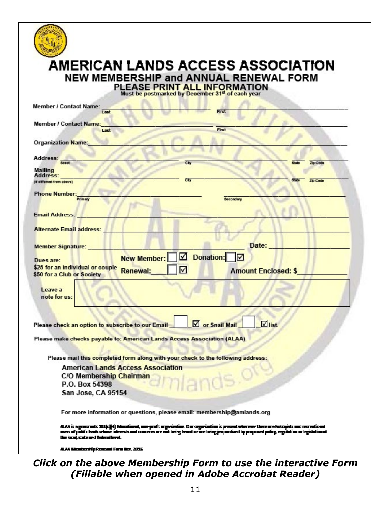

### **AMERICAN LANDS ACCESS ASSOCIATION NEW MEMBERSHIP and ANNUAL RENEWAL FORM**

PLEASE PRINT ALL INFORMATION<br>Must be postmarked by December 31<sup>et</sup> of each year

| <b>Member / Contact Name:</b>                    |                                                                                 |
|--------------------------------------------------|---------------------------------------------------------------------------------|
| Last                                             | First                                                                           |
| <b>Member / Contact Name:</b>                    |                                                                                 |
| Last                                             | First                                                                           |
| <b>Organization Name:</b>                        |                                                                                 |
|                                                  |                                                                                 |
| Address:                                         |                                                                                 |
| <b>Street</b>                                    | Cib<br><b>State</b><br>Zip Code                                                 |
| Mailing<br>Address:                              |                                                                                 |
| (if different from above)                        | City<br>Zip Code                                                                |
| <b>Phone Number:</b>                             |                                                                                 |
| Primary                                          | <b>Secondary</b>                                                                |
|                                                  |                                                                                 |
| <b>Email Address:</b>                            |                                                                                 |
| <b>Alternate Email address:</b>                  |                                                                                 |
|                                                  |                                                                                 |
| <b>Member Signature:</b>                         | Date:                                                                           |
|                                                  |                                                                                 |
| Dues are:                                        | ☑<br><b>Donation:</b><br> ⊽<br><b>New Member:</b>                               |
| \$25 for an individual or couple                 | ☑<br>Renewal:<br><b>Amount Enclosed: \$</b>                                     |
| \$50 for a Club or Society                       |                                                                                 |
| Leave a                                          |                                                                                 |
| note for us:                                     |                                                                                 |
|                                                  |                                                                                 |
|                                                  |                                                                                 |
|                                                  | $\blacksquare$ list.<br>□ or Snail Mail                                         |
| Please check an option to subscribe to our Email |                                                                                 |
|                                                  | Please make checks payable to: American Lands Access Association (ALAA)         |
|                                                  |                                                                                 |
|                                                  | Please mail this completed form along with your check to the following address: |
| <b>American Lands Access Association</b>         |                                                                                 |
| C/O Membership Chairman                          |                                                                                 |
| P.O. Box 54398                                   | llands. <sup>O</sup>                                                            |
| San Jose, CA 95154                               |                                                                                 |
|                                                  |                                                                                 |
|                                                  | For more information or questions, please email: membership@amlands.org         |
|                                                  |                                                                                 |

ALAA is a presents 321(c)[4] Education), our polit argabizion. Der organization is present wherever hotelpicks and recreational<br>asers of politic brokerines interests and concernance mit being heard or are being jeuportiest the local state and federal level.

ALAA Mentership Reveald Form Nev. 2015

#### *Click on the above Membership Form to use the interactive Form (Fillable when opened in Adobe Accrobat Reader)*